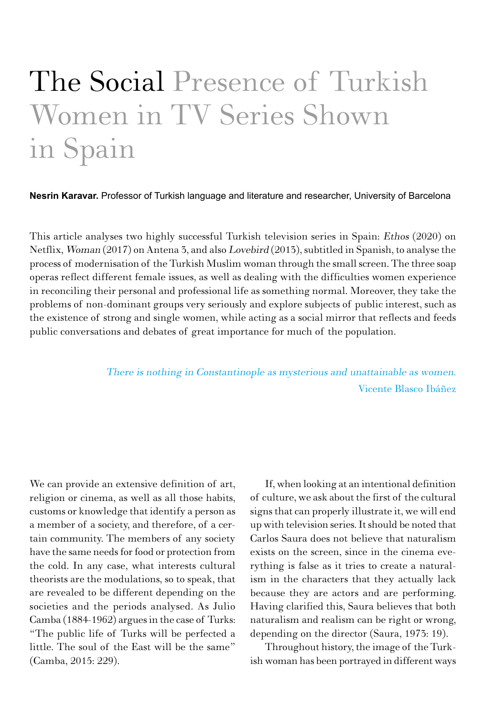# The Social Presence of Turkish Women in TV Series Shown in Spain

**Nesrin Karavar.** Professor of Turkish language and literature and researcher, University of Barcelona

This article analyses two highly successful Turkish television series in Spain: Ethos (2020) on Netflix, Woman (2017) on Antena 3, and also Lovebird (2013), subtitled in Spanish, to analyse the process of modernisation of the Turkish Muslim woman through the small screen. The three soap operas reflect different female issues, as well as dealing with the difficulties women experience in reconciling their personal and professional life as something normal. Moreover, they take the problems of non-dominant groups very seriously and explore subjects of public interest, such as the existence of strong and single women, while acting as a social mirror that reflects and feeds public conversations and debates of great importance for much of the population.

> There is nothing in Constantinople as mysterious and unattainable as women. Vicente Blasco Ibáñez

We can provide an extensive definition of art, religion or cinema, as well as all those habits, customs or knowledge that identify a person as a member of a society, and therefore, of a certain community. The members of any society have the same needs for food or protection from the cold. In any case, what interests cultural theorists are the modulations, so to speak, that are revealed to be different depending on the societies and the periods analysed. As Julio Camba (1884-1962) argues in the case of Turks: "The public life of Turks will be perfected a little. The soul of the East will be the same" (Camba, 2015: 229).

If, when looking at an intentional definition of culture, we ask about the first of the cultural signs that can properly illustrate it, we will end up with television series. It should be noted that Carlos Saura does not believe that naturalism exists on the screen, since in the cinema everything is false as it tries to create a naturalism in the characters that they actually lack because they are actors and are performing. Having clarified this, Saura believes that both naturalism and realism can be right or wrong, depending on the director (Saura, 1973: 19).

Throughout history, the image of the Turkish woman has been portrayed in different ways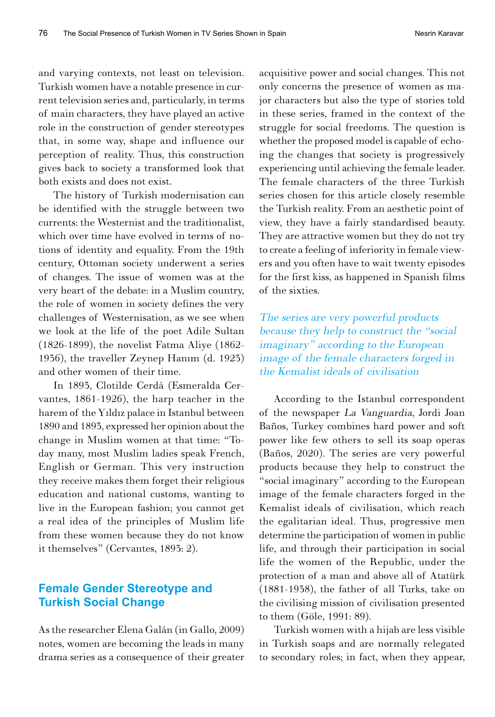and varying contexts, not least on television. Turkish women have a notable presence in current television series and, particularly, in terms of main characters, they have played an active role in the construction of gender stereotypes that, in some way, shape and influence our perception of reality. Thus, this construction gives back to society a transformed look that both exists and does not exist.

The history of Turkish modernisation can be identified with the struggle between two currents: the Westernist and the traditionalist, which over time have evolved in terms of notions of identity and equality. From the 19th century, Ottoman society underwent a series of changes. The issue of women was at the very heart of the debate: in a Muslim country, the role of women in society defines the very challenges of Westernisation, as we see when we look at the life of the poet Adile Sultan (1826-1899), the novelist Fatma Aliye (1862- 1936), the traveller Zeynep Hanım (d. 1923) and other women of their time.

In 1893, Clotilde Cerdá (Esmeralda Cervantes, 1861-1926), the harp teacher in the harem of the Yıldız palace in Istanbul between 1890 and 1893, expressed her opinion about the change in Muslim women at that time: "Today many, most Muslim ladies speak French, English or German. This very instruction they receive makes them forget their religious education and national customs, wanting to live in the European fashion; you cannot get a real idea of the principles of Muslim life from these women because they do not know it themselves" (Cervantes, 1893: 2).

# **Female Gender Stereotype and Turkish Social Change**

As the researcher Elena Galán (in Gallo, 2009) notes, women are becoming the leads in many drama series as a consequence of their greater

acquisitive power and social changes. This not only concerns the presence of women as major characters but also the type of stories told in these series, framed in the context of the struggle for social freedoms. The question is whether the proposed model is capable of echoing the changes that society is progressively experiencing until achieving the female leader. The female characters of the three Turkish series chosen for this article closely resemble the Turkish reality. From an aesthetic point of view, they have a fairly standardised beauty. They are attractive women but they do not try to create a feeling of inferiority in female viewers and you often have to wait twenty episodes for the first kiss, as happened in Spanish films of the sixties.

The series are very powerful products because they help to construct the "social imaginary" according to the European image of the female characters forged in the Kemalist ideals of civilisation

According to the Istanbul correspondent of the newspaper La Vanguardia, Jordi Joan Baños, Turkey combines hard power and soft power like few others to sell its soap operas (Baños, 2020). The series are very powerful products because they help to construct the "social imaginary" according to the European image of the female characters forged in the Kemalist ideals of civilisation, which reach the egalitarian ideal. Thus, progressive men determine the participation of women in public life, and through their participation in social life the women of the Republic, under the protection of a man and above all of Atatürk (1881-1938), the father of all Turks, take on the civilising mission of civilisation presented to them (Göle, 1991: 89).

Turkish women with a hijab are less visible in Turkish soaps and are normally relegated to secondary roles; in fact, when they appear,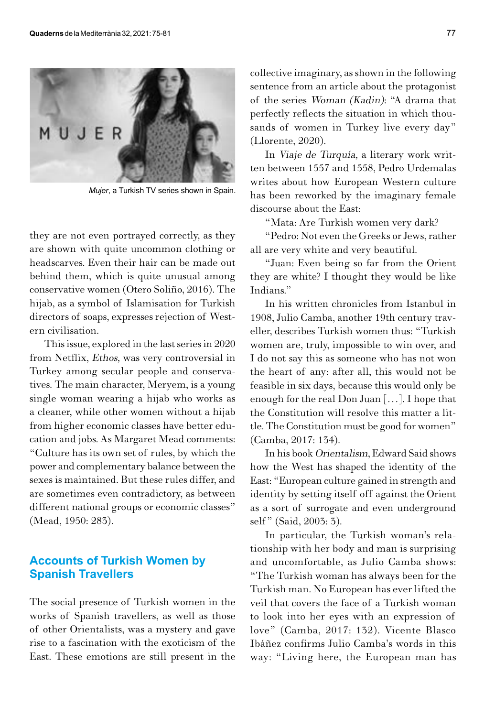

*Mujer*, a Turkish TV series shown in Spain.

they are not even portrayed correctly, as they are shown with quite uncommon clothing or headscarves. Even their hair can be made out behind them, which is quite unusual among conservative women (Otero Soliño, 2016). The hijab, as a symbol of Islamisation for Turkish directors of soaps, expresses rejection of Western civilisation.

This issue, explored in the last series in 2020 from Netflix, Ethos, was very controversial in Turkey among secular people and conservatives. The main character, Meryem, is a young single woman wearing a hijab who works as a cleaner, while other women without a hijab from higher economic classes have better education and jobs. As Margaret Mead comments: "Culture has its own set of rules, by which the power and complementary balance between the sexes is maintained. But these rules differ, and are sometimes even contradictory, as between different national groups or economic classes" (Mead, 1950: 283).

## **Accounts of Turkish Women by Spanish Travellers**

The social presence of Turkish women in the works of Spanish travellers, as well as those of other Orientalists, was a mystery and gave rise to a fascination with the exoticism of the East. These emotions are still present in the

collective imaginary, as shown in the following sentence from an article about the protagonist of the series Woman (Kadin): "A drama that perfectly reflects the situation in which thousands of women in Turkey live every day" (Llorente, 2020).

In Viaje de Turquía, a literary work written between 1557 and 1558, Pedro Urdemalas writes about how European Western culture has been reworked by the imaginary female discourse about the East:

"Mata: Are Turkish women very dark?

"Pedro: Not even the Greeks or Jews, rather all are very white and very beautiful.

"Juan: Even being so far from the Orient they are white? I thought they would be like Indians."

In his written chronicles from Istanbul in 1908, Julio Camba, another 19th century traveller, describes Turkish women thus: "Turkish women are, truly, impossible to win over, and I do not say this as someone who has not won the heart of any: after all, this would not be feasible in six days, because this would only be enough for the real Don Juan […]. I hope that the Constitution will resolve this matter a little. The Constitution must be good for women" (Camba, 2017: 134).

In his book Orientalism, Edward Said shows how the West has shaped the identity of the East: "European culture gained in strength and identity by setting itself off against the Orient as a sort of surrogate and even underground self" (Said, 2003: 3).

In particular, the Turkish woman's relationship with her body and man is surprising and uncomfortable, as Julio Camba shows: "The Turkish woman has always been for the Turkish man. No European has ever lifted the veil that covers the face of a Turkish woman to look into her eyes with an expression of love" (Camba, 2017: 132). Vicente Blasco Ibáñez confirms Julio Camba's words in this way: "Living here, the European man has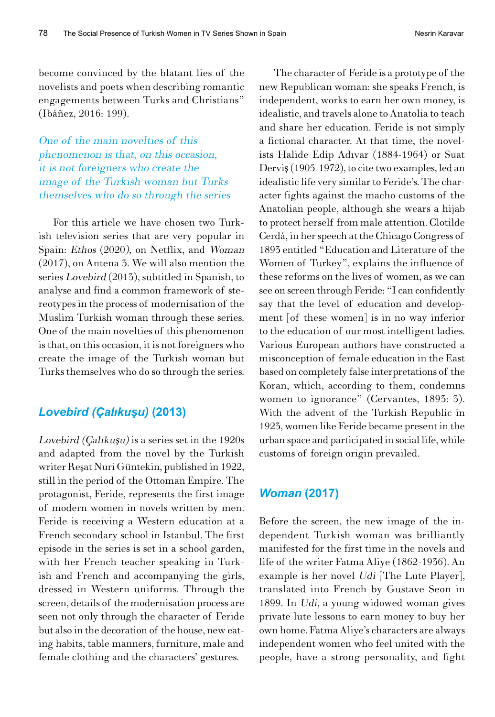become convinced by the blatant lies of the novelists and poets when describing romantic engagements between Turks and Christians" (Ibáñez, 2016: 199).

One of the main novelties of this phenomenon is that, on this occasion, it is not foreigners who create the image of the Turkish woman but Turks themselves who do so through the series

For this article we have chosen two Turkish television series that are very popular in Spain: Ethos (2020), on Netflix, and Woman (2017), on Antena 3. We will also mention the series Lovebird (2013), subtitled in Spanish, to analyse and find a common framework of stereotypes in the process of modernisation of the Muslim Turkish woman through these series. One of the main novelties of this phenomenon is that, on this occasion, it is not foreigners who create the image of the Turkish woman but Turks themselves who do so through the series.

## *Lovebird (Çalıkuşu)* **(2013)**

Lovebird (Çalıkuşu) is a series set in the 1920s and adapted from the novel by the Turkish writer Reşat Nuri Güntekin, published in 1922, still in the period of the Ottoman Empire. The protagonist, Feride, represents the first image of modern women in novels written by men. Feride is receiving a Western education at a French secondary school in Istanbul. The first episode in the series is set in a school garden, with her French teacher speaking in Turkish and French and accompanying the girls, dressed in Western uniforms. Through the screen, details of the modernisation process are seen not only through the character of Feride but also in the decoration of the house, new eating habits, table manners, furniture, male and female clothing and the characters' gestures.

The character of Feride is a prototype of the new Republican woman: she speaks French, is independent, works to earn her own money, is idealistic, and travels alone to Anatolia to teach and share her education. Feride is not simply a fictional character. At that time, the novelists Halide Edip Adıvar (1884-1964) or Suat Derviş (1905-1972), to cite two examples, led an idealistic life very similar to Feride's. The character fights against the macho customs of the Anatolian people, although she wears a hijab to protect herself from male attention. Clotilde Cerdá, in her speech at the Chicago Congress of 1893 entitled "Education and Literature of the Women of Turkey", explains the influence of these reforms on the lives of women, as we can see on screen through Feride: "I can confidently say that the level of education and development [of these women] is in no way inferior to the education of our most intelligent ladies. Various European authors have constructed a misconception of female education in the East based on completely false interpretations of the Koran, which, according to them, condemns women to ignorance" (Cervantes, 1893: 3). With the advent of the Turkish Republic in 1923, women like Feride became present in the urban space and participated in social life, while customs of foreign origin prevailed.

#### *Woman* **(2017)**

Before the screen, the new image of the independent Turkish woman was brilliantly manifested for the first time in the novels and life of the writer Fatma Aliye (1862-1936). An example is her novel Udi [The Lute Player], translated into French by Gustave Seon in 1899. In Udi, a young widowed woman gives private lute lessons to earn money to buy her own home. Fatma Aliye's characters are always independent women who feel united with the people, have a strong personality, and fight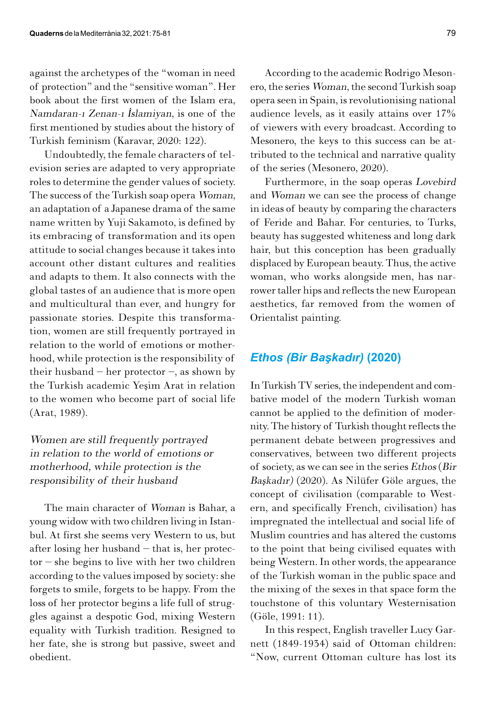against the archetypes of the "woman in need of protection" and the "sensitive woman". Her book about the first women of the Islam era, Namdaran-ı Zenan-ı İslamiyan, is one of the first mentioned by studies about the history of Turkish feminism (Karavar, 2020: 122).

Undoubtedly, the female characters of television series are adapted to very appropriate roles to determine the gender values of society. The success of the Turkish soap opera Woman, an adaptation of a Japanese drama of the same name written by Yuji Sakamoto, is defined by its embracing of transformation and its open attitude to social changes because it takes into account other distant cultures and realities and adapts to them. It also connects with the global tastes of an audience that is more open and multicultural than ever, and hungry for passionate stories. Despite this transformation, women are still frequently portrayed in relation to the world of emotions or motherhood, while protection is the responsibility of their husband – her protector –, as shown by the Turkish academic Yeşim Arat in relation to the women who become part of social life (Arat, 1989).

# Women are still frequently portrayed in relation to the world of emotions or motherhood, while protection is the responsibility of their husband

The main character of Woman is Bahar, a young widow with two children living in Istanbul. At first she seems very Western to us, but after losing her husband – that is, her protector – she begins to live with her two children according to the values imposed by society: she forgets to smile, forgets to be happy. From the loss of her protector begins a life full of struggles against a despotic God, mixing Western equality with Turkish tradition. Resigned to her fate, she is strong but passive, sweet and obedient.

According to the academic Rodrigo Mesonero, the series Woman, the second Turkish soap opera seen in Spain, is revolutionising national audience levels, as it easily attains over 17% of viewers with every broadcast. According to Mesonero, the keys to this success can be attributed to the technical and narrative quality of the series (Mesonero, 2020).

Furthermore, in the soap operas Lovebird and Woman we can see the process of change in ideas of beauty by comparing the characters of Feride and Bahar. For centuries, to Turks, beauty has suggested whiteness and long dark hair, but this conception has been gradually displaced by European beauty. Thus, the active woman, who works alongside men, has narrower taller hips and reflects the new European aesthetics, far removed from the women of Orientalist painting.

#### *Ethos (Bir Başkadır)* **(2020)**

In Turkish TV series, the independent and combative model of the modern Turkish woman cannot be applied to the definition of modernity. The history of Turkish thought reflects the permanent debate between progressives and conservatives, between two different projects of society, as we can see in the series Ethos (Bir Başkadır) (2020). As Nilüfer Göle argues, the concept of civilisation (comparable to Western, and specifically French, civilisation) has impregnated the intellectual and social life of Muslim countries and has altered the customs to the point that being civilised equates with being Western. In other words, the appearance of the Turkish woman in the public space and the mixing of the sexes in that space form the touchstone of this voluntary Westernisation (Göle, 1991: 11).

In this respect, English traveller Lucy Garnett (1849-1934) said of Ottoman children: "Now, current Ottoman culture has lost its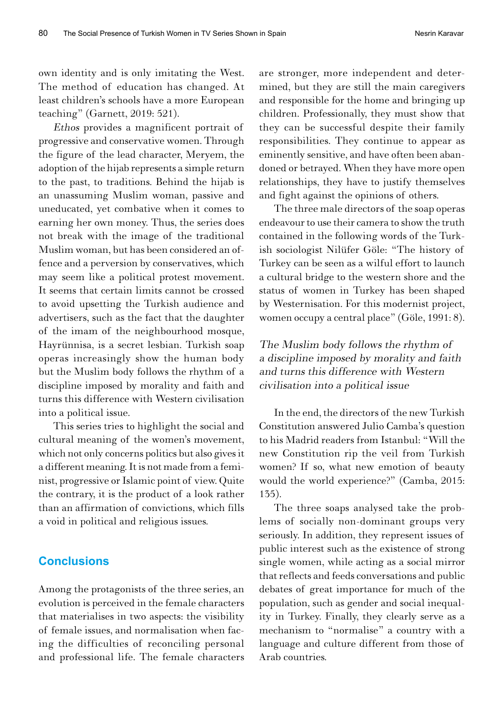own identity and is only imitating the West. The method of education has changed. At least children's schools have a more European teaching" (Garnett, 2019: 521).

Ethos provides a magnificent portrait of progressive and conservative women. Through the figure of the lead character, Meryem, the adoption of the hijab represents a simple return to the past, to traditions. Behind the hijab is an unassuming Muslim woman, passive and uneducated, yet combative when it comes to earning her own money. Thus, the series does not break with the image of the traditional Muslim woman, but has been considered an offence and a perversion by conservatives, which may seem like a political protest movement. It seems that certain limits cannot be crossed to avoid upsetting the Turkish audience and advertisers, such as the fact that the daughter of the imam of the neighbourhood mosque, Hayrünnisa, is a secret lesbian. Turkish soap operas increasingly show the human body but the Muslim body follows the rhythm of a discipline imposed by morality and faith and turns this difference with Western civilisation into a political issue.

This series tries to highlight the social and cultural meaning of the women's movement, which not only concerns politics but also gives it a different meaning. It is not made from a feminist, progressive or Islamic point of view. Quite the contrary, it is the product of a look rather than an affirmation of convictions, which fills a void in political and religious issues.

## **Conclusions**

Among the protagonists of the three series, an evolution is perceived in the female characters that materialises in two aspects: the visibility of female issues, and normalisation when facing the difficulties of reconciling personal and professional life. The female characters

are stronger, more independent and determined, but they are still the main caregivers and responsible for the home and bringing up children. Professionally, they must show that they can be successful despite their family responsibilities. They continue to appear as eminently sensitive, and have often been abandoned or betrayed. When they have more open relationships, they have to justify themselves and fight against the opinions of others.

The three male directors of the soap operas endeavour to use their camera to show the truth contained in the following words of the Turkish sociologist Nilüfer Göle: "The history of Turkey can be seen as a wilful effort to launch a cultural bridge to the western shore and the status of women in Turkey has been shaped by Westernisation. For this modernist project, women occupy a central place" (Göle, 1991: 8).

The Muslim body follows the rhythm of a discipline imposed by morality and faith and turns this difference with Western civilisation into a political issue

In the end, the directors of the new Turkish Constitution answered Julio Camba's question to his Madrid readers from Istanbul: "Will the new Constitution rip the veil from Turkish women? If so, what new emotion of beauty would the world experience?" (Camba, 2015: 135).

The three soaps analysed take the problems of socially non-dominant groups very seriously. In addition, they represent issues of public interest such as the existence of strong single women, while acting as a social mirror that reflects and feeds conversations and public debates of great importance for much of the population, such as gender and social inequality in Turkey. Finally, they clearly serve as a mechanism to "normalise" a country with a language and culture different from those of Arab countries.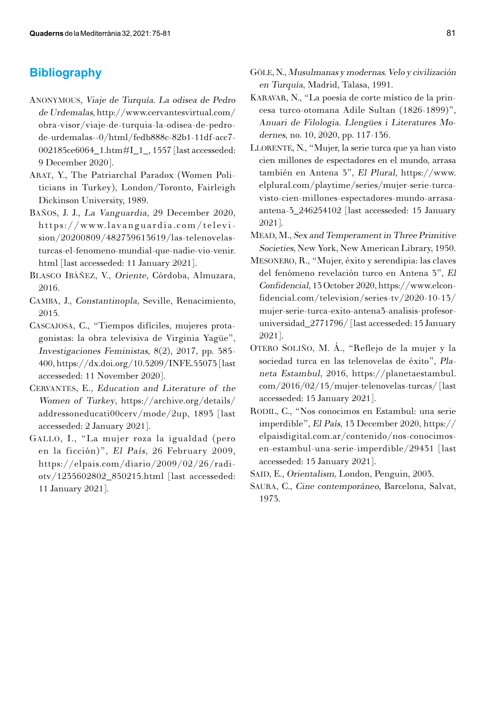# **Bibliography**

- Anonymous, Viaje de Turquía. La odisea de Pedro de Urdemalas, [http://www.cervantesvirtual.com/](http://www.cervantesvirtual.com/obra-visor/viaje-de-turquia-la-odisea-de-pedro-de-urdemalas--0/html/fedb888c-82b1-11df-acc7-002185ce6064_1.htm#I_1_) [obra-visor/viaje-de-turquia-la-odisea-de-pedro](http://www.cervantesvirtual.com/obra-visor/viaje-de-turquia-la-odisea-de-pedro-de-urdemalas--0/html/fedb888c-82b1-11df-acc7-002185ce6064_1.htm#I_1_)[de-urdemalas--0/html/fedb888c-82b1-11df-acc7-](http://www.cervantesvirtual.com/obra-visor/viaje-de-turquia-la-odisea-de-pedro-de-urdemalas--0/html/fedb888c-82b1-11df-acc7-002185ce6064_1.htm#I_1_) [002185ce6064\\_1.htm#I\\_1\\_](http://www.cervantesvirtual.com/obra-visor/viaje-de-turquia-la-odisea-de-pedro-de-urdemalas--0/html/fedb888c-82b1-11df-acc7-002185ce6064_1.htm#I_1_), 1557 [last accesseded: 9 December 2020].
- ARAT, Y., The Patriarchal Paradox (Women Politicians in Turkey), London/Toronto, Fairleigh Dickinson University, 1989.
- Baños, J. J., La Vanguardia, 29 December 2020, [https://www.lavanguardia.com/televi](https://www.lavanguardia.com/television/20200809/482739613619/las-telenovelas-turcas-el-fenomeno-mundial-que-nadie-vio-venir.html)[sion/20200809/482739613619/las-telenovelas](https://www.lavanguardia.com/television/20200809/482739613619/las-telenovelas-turcas-el-fenomeno-mundial-que-nadie-vio-venir.html)[turcas-el-fenomeno-mundial-que-nadie-vio-venir.](https://www.lavanguardia.com/television/20200809/482739613619/las-telenovelas-turcas-el-fenomeno-mundial-que-nadie-vio-venir.html) [html](https://www.lavanguardia.com/television/20200809/482739613619/las-telenovelas-turcas-el-fenomeno-mundial-que-nadie-vio-venir.html) [last accesseded: 11 January 2021].
- Blasco Ibáñez, V., Oriente, Córdoba, Almuzara, 2016.
- Camba, J., Constantinopla, Seville, Renacimiento, 2015.
- Cascajosa, C., "Tiempos difíciles, mujeres protagonistas: la obra televisiva de Virginia Yagüe", Investigaciones Feministas, 8(2), 2017, pp. 385- 400,<https://dx.doi.org/10.5209/INFE.55073>[last accesseded: 11 November 2020].
- CERVANTES, E., Education and Literature of the Women of Turkey, [https://archive.org/details/](https://archive.org/details/addressoneducati00cerv/mode/2up) [addressoneducati00cerv/mode/2up](https://archive.org/details/addressoneducati00cerv/mode/2up), 1893 [last accesseded: 2 January 2021].
- Gallo, I., "La mujer roza la igualdad (pero en la ficción)", El País, 26 February 2009, [https://elpais.com/diario/2009/02/26/radi](https://elpais.com/diario/2009/02/26/radiotv/1235602802_850215.html)[otv/1235602802\\_850215.html](https://elpais.com/diario/2009/02/26/radiotv/1235602802_850215.html) [last accesseded: 11 January 2021].
- Göle, N., Musulmanas y modernas. Velo y civilización en Turquía, Madrid, Talasa, 1991.
- Karavar, N., "La poesía de corte místico de la princesa turco-otomana Adile Sultan (1826-1899)", Anuari de Filologia. Llengües i Literatures Modernes, no. 10, 2020, pp. 117-136.
- LLORENTE, N., "Mujer, la serie turca que ya han visto cien millones de espectadores en el mundo, arrasa también en Antena 3", El Plural, [https://www.](https://www.elplural.com/playtime/series/mujer-serie-turca-visto-cien-millones-espectadores-mundo-arrasa-antena-3_246254102) [elplural.com/playtime/series/mujer-serie-turca](https://www.elplural.com/playtime/series/mujer-serie-turca-visto-cien-millones-espectadores-mundo-arrasa-antena-3_246254102)[visto-cien-millones-espectadores-mundo-arrasa](https://www.elplural.com/playtime/series/mujer-serie-turca-visto-cien-millones-espectadores-mundo-arrasa-antena-3_246254102)[antena-3\\_246254102](https://www.elplural.com/playtime/series/mujer-serie-turca-visto-cien-millones-espectadores-mundo-arrasa-antena-3_246254102) [last accesseded: 15 January 2021].
- Mead, M., Sex and Temperament in Three Primitive Societies, New York, New American Library, 1950.
- Mesonero, R., "Mujer, éxito y serendipia: las claves del fenómeno revelación turco en Antena 3", El Confidencial, 13 October 2020, [https://www.elcon](https://www.elconfidencial.com/television/series-tv/2020-10-13/mujer-serie-turca-exito-antena3-analisis-profesor-universidad_2771796/)[fidencial.com/television/series-tv/2020-10-13/](https://www.elconfidencial.com/television/series-tv/2020-10-13/mujer-serie-turca-exito-antena3-analisis-profesor-universidad_2771796/) [mujer-serie-turca-exito-antena3-analisis-profesor](https://www.elconfidencial.com/television/series-tv/2020-10-13/mujer-serie-turca-exito-antena3-analisis-profesor-universidad_2771796/)[universidad\\_2771796/](https://www.elconfidencial.com/television/series-tv/2020-10-13/mujer-serie-turca-exito-antena3-analisis-profesor-universidad_2771796/) [last accesseded: 15 January 2021].
- Otero Soliño, M. Á., "Reflejo de la mujer y la sociedad turca en las telenovelas de éxito", Planeta Estambul, 2016, [https://planetaestambul.](https://planetaestambul.com/2016/02/15/mujer-telenovelas-turcas/) [com/2016/02/15/mujer-telenovelas-turcas/](https://planetaestambul.com/2016/02/15/mujer-telenovelas-turcas/) [last accesseded: 15 January 2021].
- RODIL, C., "Nos conocimos en Estambul: una serie imperdible", El País, 13 December 2020, [https://](https://elpaisdigital.com.ar/contenido/nos-conocimos-en-estambul-una-serie-imperdible/29431) [elpaisdigital.com.ar/contenido/nos-conocimos](https://elpaisdigital.com.ar/contenido/nos-conocimos-en-estambul-una-serie-imperdible/29431)[en-estambul-una-serie-imperdible/29431](https://elpaisdigital.com.ar/contenido/nos-conocimos-en-estambul-una-serie-imperdible/29431) [last accesseded: 15 January 2021].
- SAID, E., Orientalism, London, Penguin, 2003.
- Saura, C., Cine contemporáneo, Barcelona, Salvat, 1973.